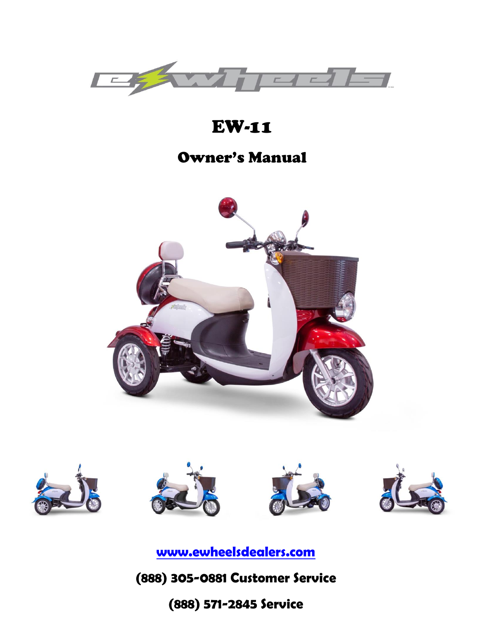

# EW-11

# Owner's Manual











**[www.ewheelsdealers.com](http://www.ewheelsdealers.com/)**

# 0 **(888) 305-0881 Customer Service**

# **(888) 571-2845 Service**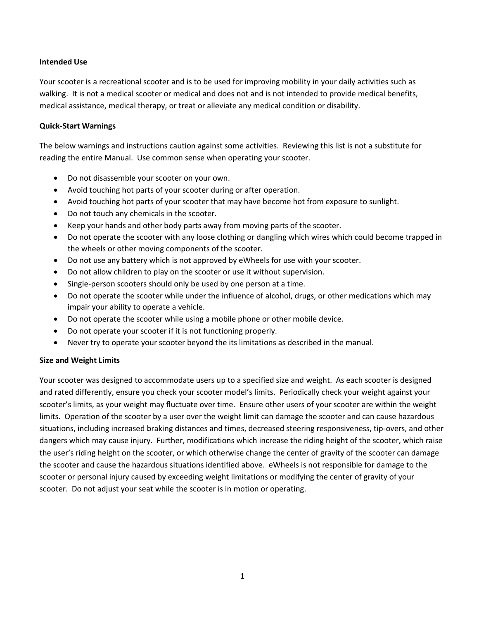#### **Intended Use**

Your scooter is a recreational scooter and is to be used for improving mobility in your daily activities such as walking. It is not a medical scooter or medical and does not and is not intended to provide medical benefits, medical assistance, medical therapy, or treat or alleviate any medical condition or disability.

#### **Quick-Start Warnings**

The below warnings and instructions caution against some activities. Reviewing this list is not a substitute for reading the entire Manual. Use common sense when operating your scooter.

- Do not disassemble your scooter on your own.
- Avoid touching hot parts of your scooter during or after operation.
- Avoid touching hot parts of your scooter that may have become hot from exposure to sunlight.
- Do not touch any chemicals in the scooter.
- Keep your hands and other body parts away from moving parts of the scooter.
- Do not operate the scooter with any loose clothing or dangling which wires which could become trapped in the wheels or other moving components of the scooter.
- Do not use any battery which is not approved by eWheels for use with your scooter.
- Do not allow children to play on the scooter or use it without supervision.
- Single-person scooters should only be used by one person at a time.
- Do not operate the scooter while under the influence of alcohol, drugs, or other medications which may impair your ability to operate a vehicle.
- Do not operate the scooter while using a mobile phone or other mobile device.
- Do not operate your scooter if it is not functioning properly.
- Never try to operate your scooter beyond the its limitations as described in the manual.

#### **Size and Weight Limits**

Your scooter was designed to accommodate users up to a specified size and weight. As each scooter is designed and rated differently, ensure you check your scooter model's limits. Periodically check your weight against your scooter's limits, as your weight may fluctuate over time. Ensure other users of your scooter are within the weight limits. Operation of the scooter by a user over the weight limit can damage the scooter and can cause hazardous situations, including increased braking distances and times, decreased steering responsiveness, tip-overs, and other dangers which may cause injury. Further, modifications which increase the riding height of the scooter, which raise the user's riding height on the scooter, or which otherwise change the center of gravity of the scooter can damage the scooter and cause the hazardous situations identified above. eWheels is not responsible for damage to the scooter or personal injury caused by exceeding weight limitations or modifying the center of gravity of your scooter. Do not adjust your seat while the scooter is in motion or operating.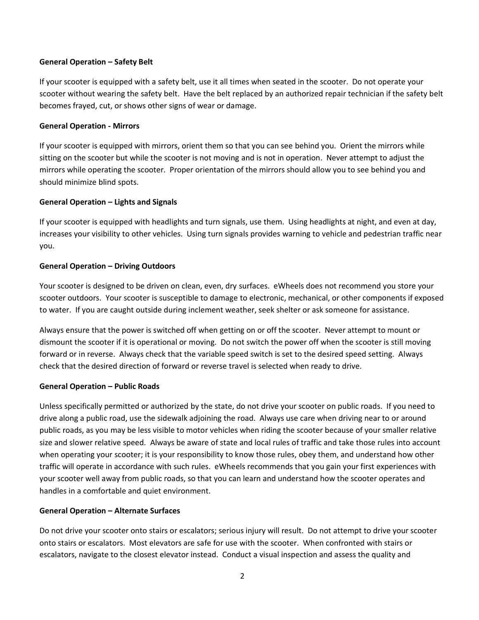#### **General Operation – Safety Belt**

If your scooter is equipped with a safety belt, use it all times when seated in the scooter. Do not operate your scooter without wearing the safety belt. Have the belt replaced by an authorized repair technician if the safety belt becomes frayed, cut, or shows other signs of wear or damage.

### **General Operation - Mirrors**

If your scooter is equipped with mirrors, orient them so that you can see behind you. Orient the mirrors while sitting on the scooter but while the scooter is not moving and is not in operation. Never attempt to adjust the mirrors while operating the scooter. Proper orientation of the mirrors should allow you to see behind you and should minimize blind spots.

### **General Operation – Lights and Signals**

If your scooter is equipped with headlights and turn signals, use them. Using headlights at night, and even at day, increases your visibility to other vehicles. Using turn signals provides warning to vehicle and pedestrian traffic near you.

### **General Operation – Driving Outdoors**

Your scooter is designed to be driven on clean, even, dry surfaces. eWheels does not recommend you store your scooter outdoors. Your scooter is susceptible to damage to electronic, mechanical, or other components if exposed to water. If you are caught outside during inclement weather, seek shelter or ask someone for assistance.

Always ensure that the power is switched off when getting on or off the scooter. Never attempt to mount or dismount the scooter if it is operational or moving. Do not switch the power off when the scooter is still moving forward or in reverse. Always check that the variable speed switch is set to the desired speed setting. Always check that the desired direction of forward or reverse travel is selected when ready to drive.

### **General Operation – Public Roads**

Unless specifically permitted or authorized by the state, do not drive your scooter on public roads. If you need to drive along a public road, use the sidewalk adjoining the road. Always use care when driving near to or around public roads, as you may be less visible to motor vehicles when riding the scooter because of your smaller relative size and slower relative speed. Always be aware of state and local rules of traffic and take those rules into account when operating your scooter; it is your responsibility to know those rules, obey them, and understand how other traffic will operate in accordance with such rules. eWheels recommends that you gain your first experiences with your scooter well away from public roads, so that you can learn and understand how the scooter operates and handles in a comfortable and quiet environment.

#### **General Operation – Alternate Surfaces**

Do not drive your scooter onto stairs or escalators; serious injury will result. Do not attempt to drive your scooter onto stairs or escalators. Most elevators are safe for use with the scooter. When confronted with stairs or escalators, navigate to the closest elevator instead. Conduct a visual inspection and assess the quality and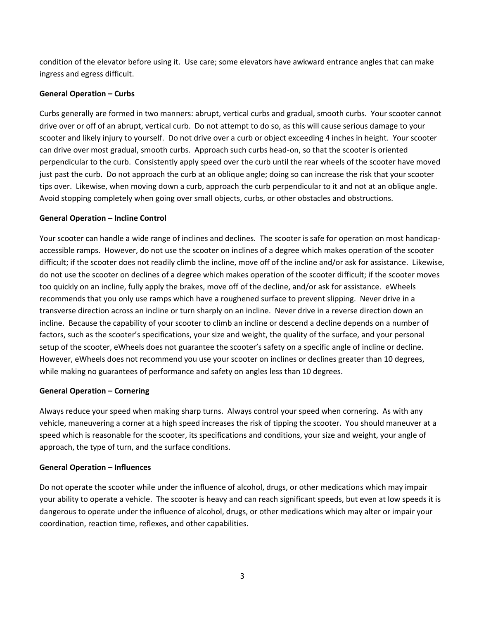condition of the elevator before using it. Use care; some elevators have awkward entrance angles that can make ingress and egress difficult.

### **General Operation – Curbs**

Curbs generally are formed in two manners: abrupt, vertical curbs and gradual, smooth curbs. Your scooter cannot drive over or off of an abrupt, vertical curb. Do not attempt to do so, as this will cause serious damage to your scooter and likely injury to yourself. Do not drive over a curb or object exceeding 4 inches in height. Your scooter can drive over most gradual, smooth curbs. Approach such curbs head-on, so that the scooter is oriented perpendicular to the curb. Consistently apply speed over the curb until the rear wheels of the scooter have moved just past the curb. Do not approach the curb at an oblique angle; doing so can increase the risk that your scooter tips over. Likewise, when moving down a curb, approach the curb perpendicular to it and not at an oblique angle. Avoid stopping completely when going over small objects, curbs, or other obstacles and obstructions.

### **General Operation – Incline Control**

Your scooter can handle a wide range of inclines and declines. The scooter is safe for operation on most handicapaccessible ramps. However, do not use the scooter on inclines of a degree which makes operation of the scooter difficult; if the scooter does not readily climb the incline, move off of the incline and/or ask for assistance. Likewise, do not use the scooter on declines of a degree which makes operation of the scooter difficult; if the scooter moves too quickly on an incline, fully apply the brakes, move off of the decline, and/or ask for assistance. eWheels recommends that you only use ramps which have a roughened surface to prevent slipping. Never drive in a transverse direction across an incline or turn sharply on an incline. Never drive in a reverse direction down an incline. Because the capability of your scooter to climb an incline or descend a decline depends on a number of factors, such as the scooter's specifications, your size and weight, the quality of the surface, and your personal setup of the scooter, eWheels does not guarantee the scooter's safety on a specific angle of incline or decline. However, eWheels does not recommend you use your scooter on inclines or declines greater than 10 degrees, while making no guarantees of performance and safety on angles less than 10 degrees.

### **General Operation – Cornering**

Always reduce your speed when making sharp turns. Always control your speed when cornering. As with any vehicle, maneuvering a corner at a high speed increases the risk of tipping the scooter. You should maneuver at a speed which is reasonable for the scooter, its specifications and conditions, your size and weight, your angle of approach, the type of turn, and the surface conditions.

#### **General Operation – Influences**

Do not operate the scooter while under the influence of alcohol, drugs, or other medications which may impair your ability to operate a vehicle. The scooter is heavy and can reach significant speeds, but even at low speeds it is dangerous to operate under the influence of alcohol, drugs, or other medications which may alter or impair your coordination, reaction time, reflexes, and other capabilities.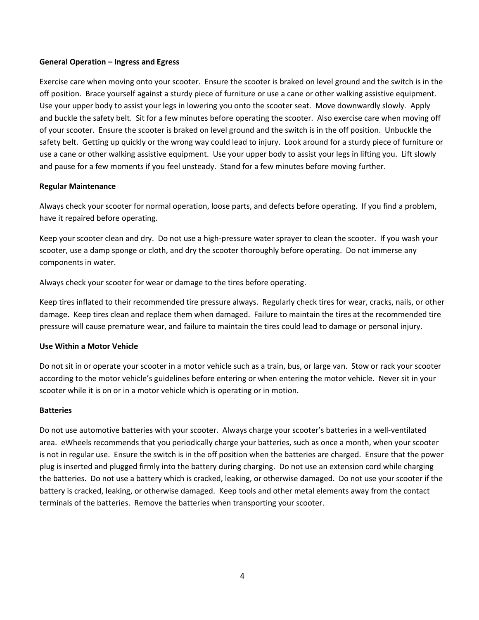#### **General Operation – Ingress and Egress**

Exercise care when moving onto your scooter. Ensure the scooter is braked on level ground and the switch is in the off position. Brace yourself against a sturdy piece of furniture or use a cane or other walking assistive equipment. Use your upper body to assist your legs in lowering you onto the scooter seat. Move downwardly slowly. Apply and buckle the safety belt. Sit for a few minutes before operating the scooter. Also exercise care when moving off of your scooter. Ensure the scooter is braked on level ground and the switch is in the off position. Unbuckle the safety belt. Getting up quickly or the wrong way could lead to injury. Look around for a sturdy piece of furniture or use a cane or other walking assistive equipment. Use your upper body to assist your legs in lifting you. Lift slowly and pause for a few moments if you feel unsteady. Stand for a few minutes before moving further.

#### **Regular Maintenance**

Always check your scooter for normal operation, loose parts, and defects before operating. If you find a problem, have it repaired before operating.

Keep your scooter clean and dry. Do not use a high-pressure water sprayer to clean the scooter. If you wash your scooter, use a damp sponge or cloth, and dry the scooter thoroughly before operating. Do not immerse any components in water.

Always check your scooter for wear or damage to the tires before operating.

Keep tires inflated to their recommended tire pressure always. Regularly check tires for wear, cracks, nails, or other damage. Keep tires clean and replace them when damaged. Failure to maintain the tires at the recommended tire pressure will cause premature wear, and failure to maintain the tires could lead to damage or personal injury.

#### **Use Within a Motor Vehicle**

Do not sit in or operate your scooter in a motor vehicle such as a train, bus, or large van. Stow or rack your scooter according to the motor vehicle's guidelines before entering or when entering the motor vehicle. Never sit in your scooter while it is on or in a motor vehicle which is operating or in motion.

#### **Batteries**

Do not use automotive batteries with your scooter. Always charge your scooter's batteries in a well-ventilated area. eWheels recommends that you periodically charge your batteries, such as once a month, when your scooter is not in regular use. Ensure the switch is in the off position when the batteries are charged. Ensure that the power plug is inserted and plugged firmly into the battery during charging. Do not use an extension cord while charging the batteries. Do not use a battery which is cracked, leaking, or otherwise damaged. Do not use your scooter if the battery is cracked, leaking, or otherwise damaged. Keep tools and other metal elements away from the contact terminals of the batteries. Remove the batteries when transporting your scooter.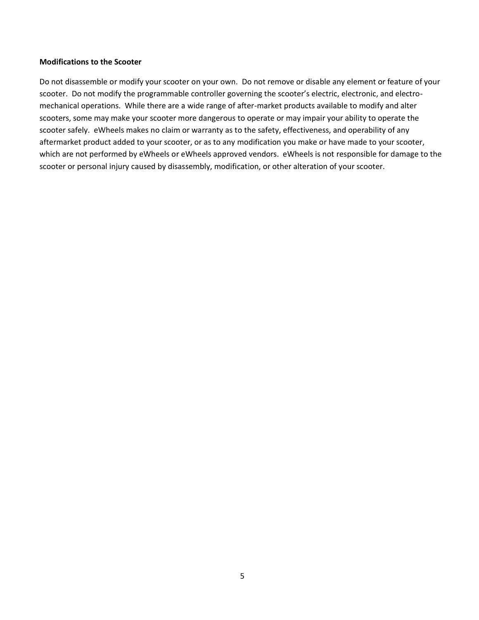#### **Modifications to the Scooter**

Do not disassemble or modify your scooter on your own. Do not remove or disable any element or feature of your scooter. Do not modify the programmable controller governing the scooter's electric, electronic, and electromechanical operations. While there are a wide range of after-market products available to modify and alter scooters, some may make your scooter more dangerous to operate or may impair your ability to operate the scooter safely. eWheels makes no claim or warranty as to the safety, effectiveness, and operability of any aftermarket product added to your scooter, or as to any modification you make or have made to your scooter, which are not performed by eWheels or eWheels approved vendors. eWheels is not responsible for damage to the scooter or personal injury caused by disassembly, modification, or other alteration of your scooter.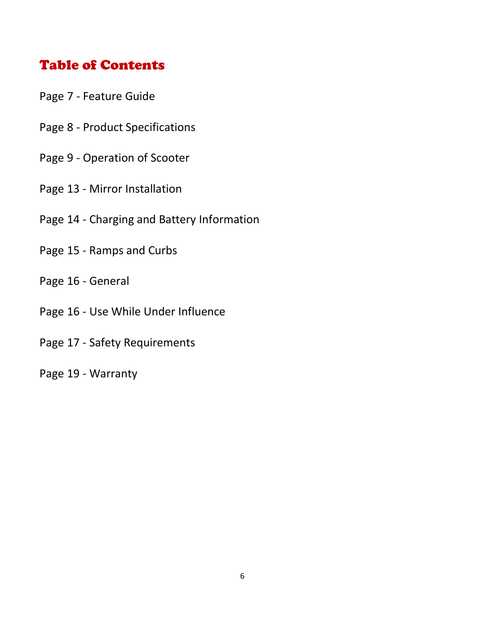# Table of Contents

- Page 7 Feature Guide
- Page 8 Product Specifications
- Page 9 Operation of Scooter
- Page 13 Mirror Installation
- Page 14 Charging and Battery Information
- Page 15 Ramps and Curbs
- Page 16 General
- Page 16 Use While Under Influence
- Page 17 Safety Requirements
- Page 19 Warranty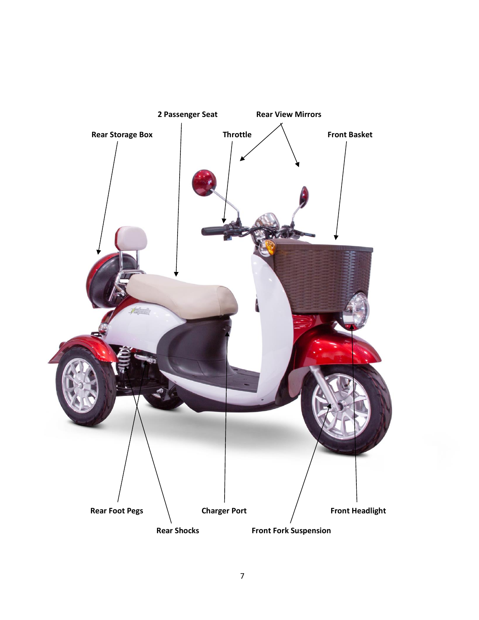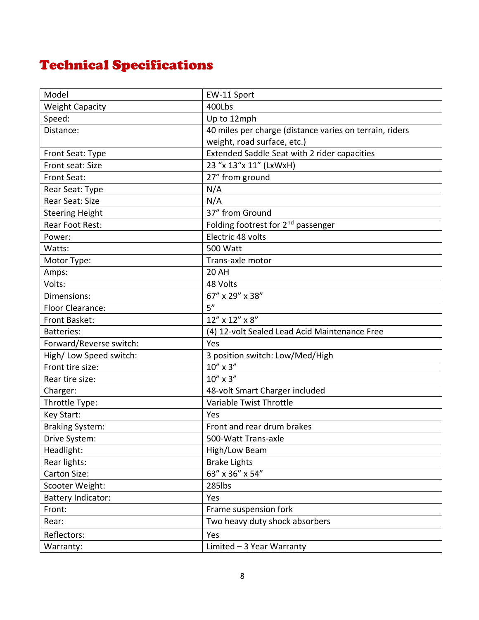# Technical Specifications

| Model                   | EW-11 Sport                                             |
|-------------------------|---------------------------------------------------------|
| <b>Weight Capacity</b>  | 400Lbs                                                  |
| Speed:                  | Up to 12mph                                             |
| Distance:               | 40 miles per charge (distance varies on terrain, riders |
|                         | weight, road surface, etc.)                             |
| Front Seat: Type        | Extended Saddle Seat with 2 rider capacities            |
| Front seat: Size        | 23 "x 13"x 11" (LxWxH)                                  |
| Front Seat:             | 27" from ground                                         |
| Rear Seat: Type         | N/A                                                     |
| Rear Seat: Size         | N/A                                                     |
| <b>Steering Height</b>  | 37" from Ground                                         |
| Rear Foot Rest:         | Folding footrest for 2 <sup>nd</sup> passenger          |
| Power:                  | Electric 48 volts                                       |
| Watts:                  | <b>500 Watt</b>                                         |
| Motor Type:             | Trans-axle motor                                        |
| Amps:                   | <b>20 AH</b>                                            |
| Volts:                  | 48 Volts                                                |
| Dimensions:             | 67" x 29" x 38"                                         |
| Floor Clearance:        | 5''                                                     |
| Front Basket:           | 12" x 12" x 8"                                          |
| <b>Batteries:</b>       | (4) 12-volt Sealed Lead Acid Maintenance Free           |
| Forward/Reverse switch: | Yes                                                     |
| High/Low Speed switch:  | 3 position switch: Low/Med/High                         |
| Front tire size:        | $10''$ x 3"                                             |
| Rear tire size:         | 10" x 3"                                                |
| Charger:                | 48-volt Smart Charger included                          |
| Throttle Type:          | Variable Twist Throttle                                 |
| Key Start:              | Yes                                                     |
| <b>Braking System:</b>  | Front and rear drum brakes                              |
| Drive System:           | 500-Watt Trans-axle                                     |
| Headlight:              | High/Low Beam                                           |
| Rear lights:            | <b>Brake Lights</b>                                     |
| Carton Size:            | 63" x 36" x 54"                                         |
| Scooter Weight:         | 285lbs                                                  |
| Battery Indicator:      | Yes                                                     |
| Front:                  | Frame suspension fork                                   |
| Rear:                   | Two heavy duty shock absorbers                          |
| Reflectors:             | Yes                                                     |
| Warranty:               | Limited $-3$ Year Warranty                              |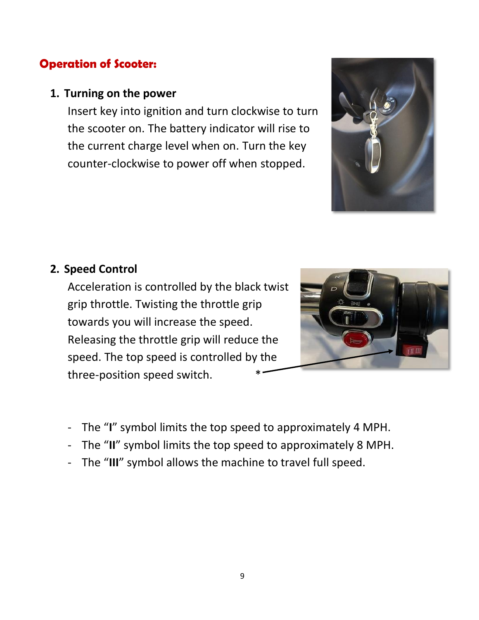# **Operation of Scooter:**

### **1. Turning on the power**

Insert key into ignition and turn clockwise to turn the scooter on. The battery indicator will rise to the current charge level when on. Turn the key counter-clockwise to power off when stopped.



### **2. Speed Control**

Acceleration is controlled by the black twist grip throttle. Twisting the throttle grip towards you will increase the speed. Releasing the throttle grip will reduce the speed. The top speed is controlled by the three-position speed switch. \*



- The "**I**" symbol limits the top speed to approximately 4 MPH.
- The "**II**" symbol limits the top speed to approximately 8 MPH.
- The "**III**" symbol allows the machine to travel full speed.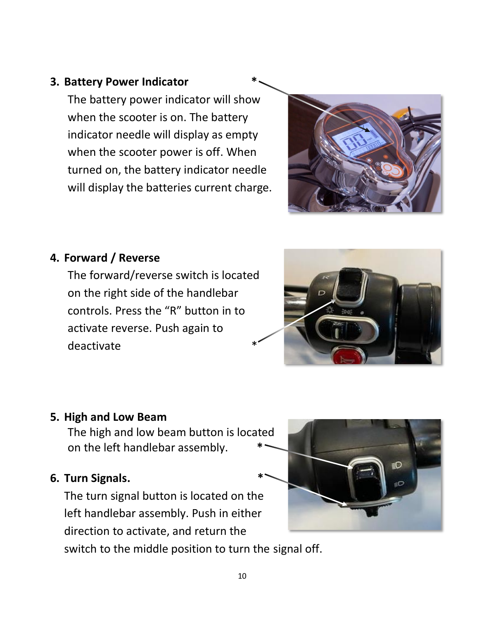## **3. Battery Power Indicator \***

The battery power indicator will show when the scooter is on. The battery indicator needle will display as empty when the scooter power is off. When turned on, the battery indicator needle will display the batteries current charge.



### **4. Forward / Reverse**

The forward/reverse switch is located on the right side of the handlebar controls. Press the "R" button in to activate reverse. Push again to deactivate



### **5. High and Low Beam**

The high and low beam button is located on the left handlebar assembly. **\***

### **6. Turn Signals. \***

The turn signal button is located on the left handlebar assembly. Push in either direction to activate, and return the

switch to the middle position to turn the signal off.

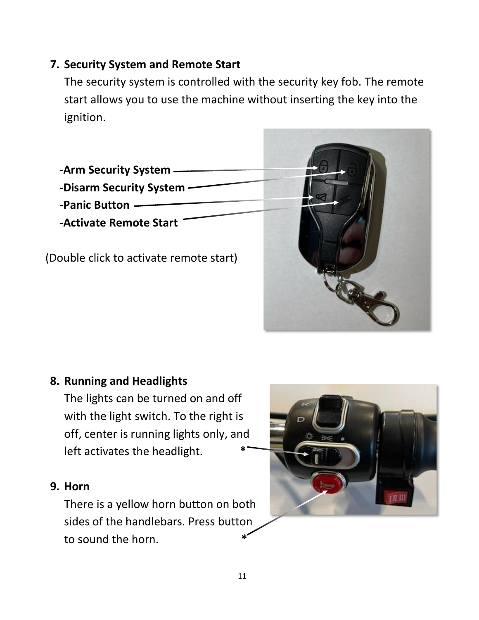## **7. Security System and Remote Start**

The security system is controlled with the security key fob. The remote start allows you to use the machine without inserting the key into the ignition.



## **8. Running and Headlights**

The lights can be turned on and off with the light switch. To the right is off, center is running lights only, and left activates the headlight. **\***

### **9. Horn**

There is a yellow horn button on both sides of the handlebars. Press button to sound the horn. **\***

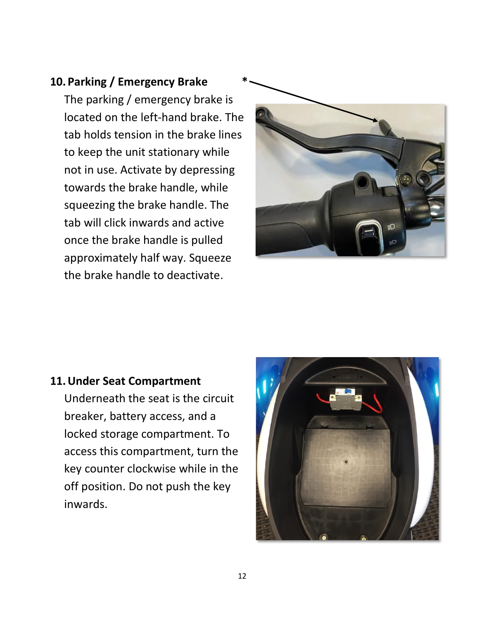## **10. Parking / Emergency Brake \***

The parking / emergency brake is located on the left-hand brake. The tab holds tension in the brake lines to keep the unit stationary while not in use. Activate by depressing towards the brake handle, while squeezing the brake handle. The tab will click inwards and active once the brake handle is pulled approximately half way. Squeeze the brake handle to deactivate.



### **11.Under Seat Compartment**

Underneath the seat is the circuit breaker, battery access, and a locked storage compartment. To access this compartment, turn the key counter clockwise while in the off position. Do not push the key inwards.

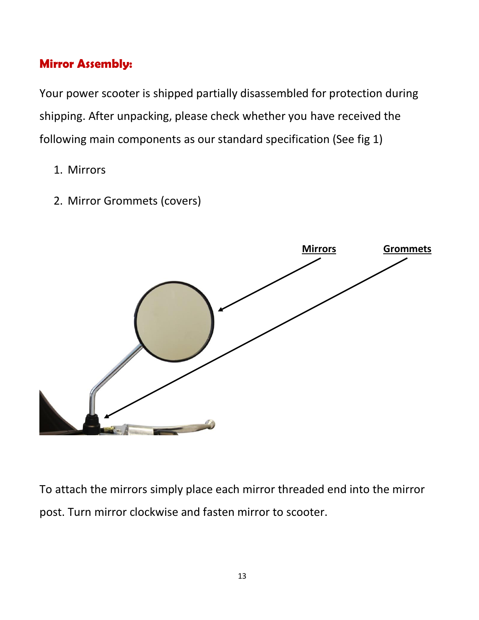# **Mirror Assembly:**

Your power scooter is shipped partially disassembled for protection during shipping. After unpacking, please check whether you have received the following main components as our standard specification (See fig 1)

- 1. Mirrors
- 2. Mirror Grommets (covers)



To attach the mirrors simply place each mirror threaded end into the mirror post. Turn mirror clockwise and fasten mirror to scooter.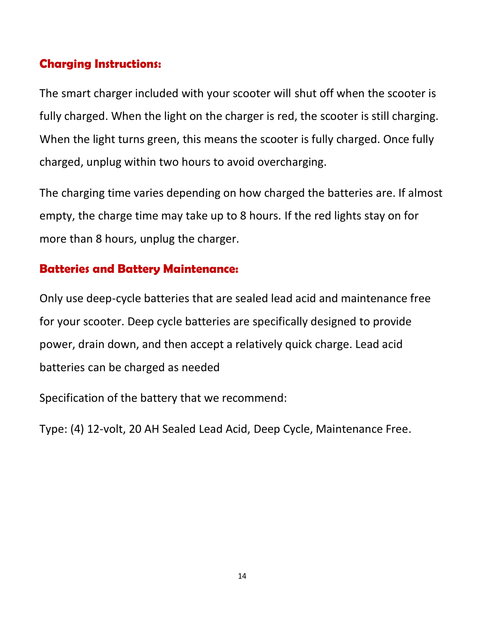# **Charging Instructions:**

The smart charger included with your scooter will shut off when the scooter is fully charged. When the light on the charger is red, the scooter is still charging. When the light turns green, this means the scooter is fully charged. Once fully charged, unplug within two hours to avoid overcharging.

The charging time varies depending on how charged the batteries are. If almost empty, the charge time may take up to 8 hours. If the red lights stay on for more than 8 hours, unplug the charger.

# **Batteries and Battery Maintenance:**

Only use deep-cycle batteries that are sealed lead acid and maintenance free for your scooter. Deep cycle batteries are specifically designed to provide power, drain down, and then accept a relatively quick charge. Lead acid batteries can be charged as needed

Specification of the battery that we recommend:

Type: (4) 12-volt, 20 AH Sealed Lead Acid, Deep Cycle, Maintenance Free.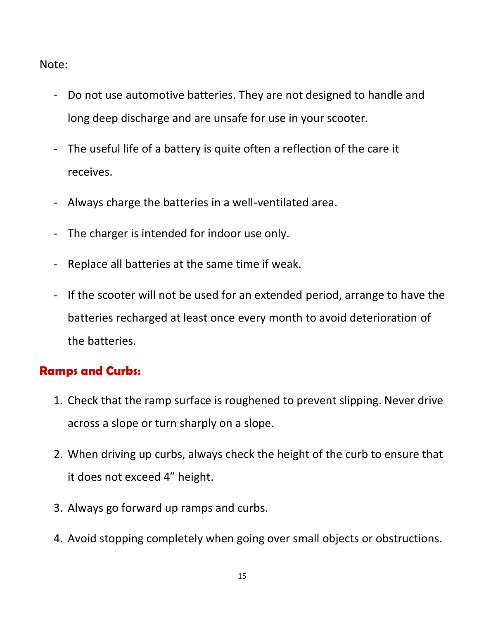Note:

- Do not use automotive batteries. They are not designed to handle and long deep discharge and are unsafe for use in your scooter.
- The useful life of a battery is quite often a reflection of the care it receives.
- Always charge the batteries in a well-ventilated area.
- The charger is intended for indoor use only.
- Replace all batteries at the same time if weak.
- If the scooter will not be used for an extended period, arrange to have the batteries recharged at least once every month to avoid deterioration of the batteries.

# **Ramps and Curbs:**

- 1. Check that the ramp surface is roughened to prevent slipping. Never drive across a slope or turn sharply on a slope.
- 2. When driving up curbs, always check the height of the curb to ensure that it does not exceed 4" height.
- 3. Always go forward up ramps and curbs.
- 4. Avoid stopping completely when going over small objects or obstructions.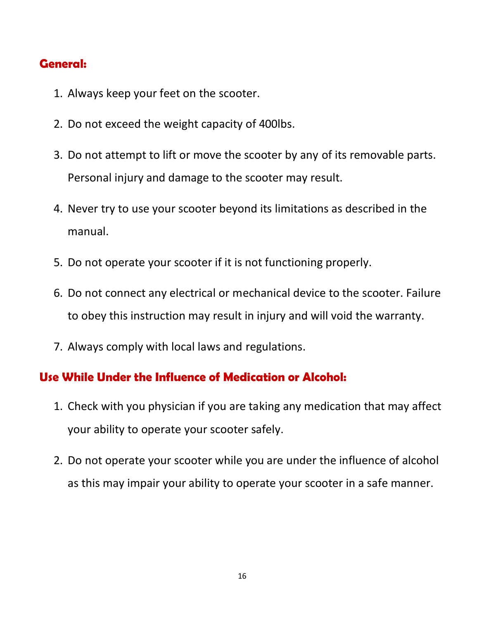# **General:**

- 1. Always keep your feet on the scooter.
- 2. Do not exceed the weight capacity of 400lbs.
- 3. Do not attempt to lift or move the scooter by any of its removable parts. Personal injury and damage to the scooter may result.
- 4. Never try to use your scooter beyond its limitations as described in the manual.
- 5. Do not operate your scooter if it is not functioning properly.
- 6. Do not connect any electrical or mechanical device to the scooter. Failure to obey this instruction may result in injury and will void the warranty.
- 7. Always comply with local laws and regulations.

### **Use While Under the Influence of Medication or Alcohol:**

- 1. Check with you physician if you are taking any medication that may affect your ability to operate your scooter safely.
- 2. Do not operate your scooter while you are under the influence of alcohol as this may impair your ability to operate your scooter in a safe manner.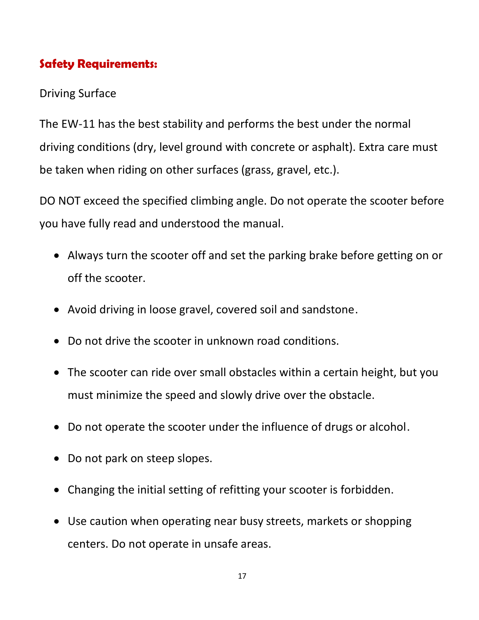# **Safety Requirements:**

# Driving Surface

The EW-11 has the best stability and performs the best under the normal driving conditions (dry, level ground with concrete or asphalt). Extra care must be taken when riding on other surfaces (grass, gravel, etc.).

DO NOT exceed the specified climbing angle. Do not operate the scooter before you have fully read and understood the manual.

- Always turn the scooter off and set the parking brake before getting on or off the scooter.
- Avoid driving in loose gravel, covered soil and sandstone.
- Do not drive the scooter in unknown road conditions.
- The scooter can ride over small obstacles within a certain height, but you must minimize the speed and slowly drive over the obstacle.
- Do not operate the scooter under the influence of drugs or alcohol.
- Do not park on steep slopes.
- Changing the initial setting of refitting your scooter is forbidden.
- Use caution when operating near busy streets, markets or shopping centers. Do not operate in unsafe areas.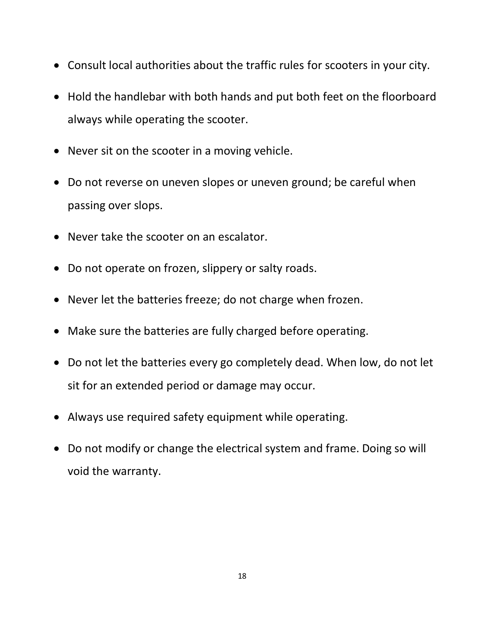- Consult local authorities about the traffic rules for scooters in your city.
- Hold the handlebar with both hands and put both feet on the floorboard always while operating the scooter.
- Never sit on the scooter in a moving vehicle.
- Do not reverse on uneven slopes or uneven ground; be careful when passing over slops.
- Never take the scooter on an escalator.
- Do not operate on frozen, slippery or salty roads.
- Never let the batteries freeze; do not charge when frozen.
- Make sure the batteries are fully charged before operating.
- Do not let the batteries every go completely dead. When low, do not let sit for an extended period or damage may occur.
- Always use required safety equipment while operating.
- Do not modify or change the electrical system and frame. Doing so will void the warranty.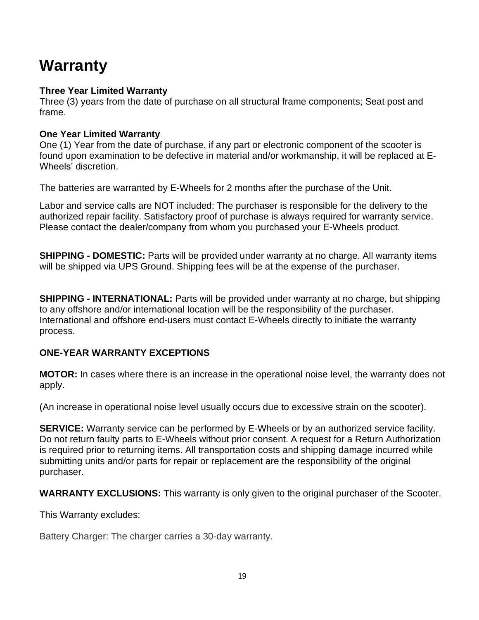# **Warranty**

### **Three Year Limited Warranty**

Three (3) years from the date of purchase on all structural frame components; Seat post and frame.

### **One Year Limited Warranty**

One (1) Year from the date of purchase, if any part or electronic component of the scooter is found upon examination to be defective in material and/or workmanship, it will be replaced at E-Wheels' discretion.

The batteries are warranted by E-Wheels for 2 months after the purchase of the Unit.

Labor and service calls are NOT included: The purchaser is responsible for the delivery to the authorized repair facility. Satisfactory proof of purchase is always required for warranty service. Please contact the dealer/company from whom you purchased your E-Wheels product.

**SHIPPING - DOMESTIC:** Parts will be provided under warranty at no charge. All warranty items will be shipped via UPS Ground. Shipping fees will be at the expense of the purchaser.

**SHIPPING - INTERNATIONAL:** Parts will be provided under warranty at no charge, but shipping to any offshore and/or international location will be the responsibility of the purchaser. International and offshore end-users must contact E-Wheels directly to initiate the warranty process.

### **ONE-YEAR WARRANTY EXCEPTIONS**

**MOTOR:** In cases where there is an increase in the operational noise level, the warranty does not apply.

(An increase in operational noise level usually occurs due to excessive strain on the scooter).

**SERVICE:** Warranty service can be performed by E-Wheels or by an authorized service facility. Do not return faulty parts to E-Wheels without prior consent. A request for a Return Authorization is required prior to returning items. All transportation costs and shipping damage incurred while submitting units and/or parts for repair or replacement are the responsibility of the original purchaser.

**WARRANTY EXCLUSIONS:** This warranty is only given to the original purchaser of the Scooter.

This Warranty excludes:

Battery Charger: The charger carries a 30-day warranty.